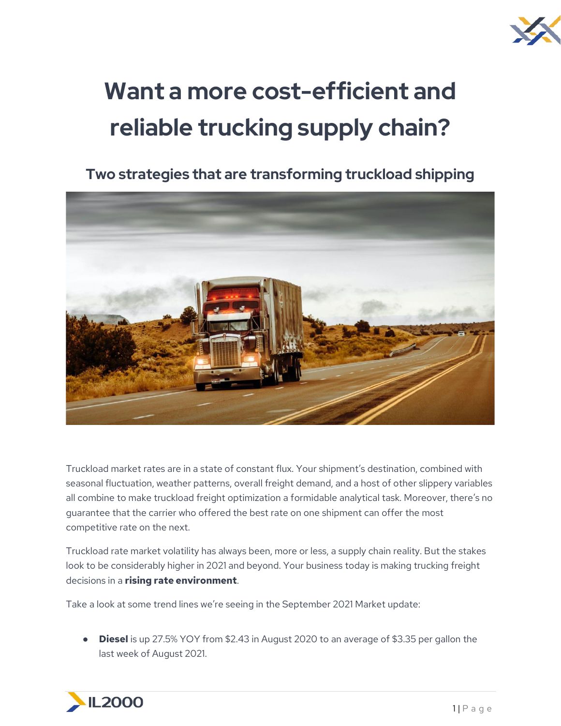

# **Want a more cost-efficient and reliable trucking supply chain?**

**Two strategies that are transforming truckload shipping**



Truckload market rates are in a state of constant flux. Your shipment's destination, combined with seasonal fluctuation, weather patterns, overall freight demand, and a host of other slippery variables all combine to make truckload freight optimization a formidable analytical task. Moreover, there's no guarantee that the carrier who offered the best rate on one shipment can offer the most competitive rate on the next.

Truckload rate market volatility has always been, more or less, a supply chain reality. But the stakes look to be considerably higher in 2021 and beyond. Your business today is making trucking freight decisions in a **rising rate environment**.

Take a look at some trend lines we're seeing in the September 2021 Market update:

● **Diesel** is up 27.5% YOY from \$2.43 in August 2020 to an average of \$3.35 per gallon the last week of August 2021.

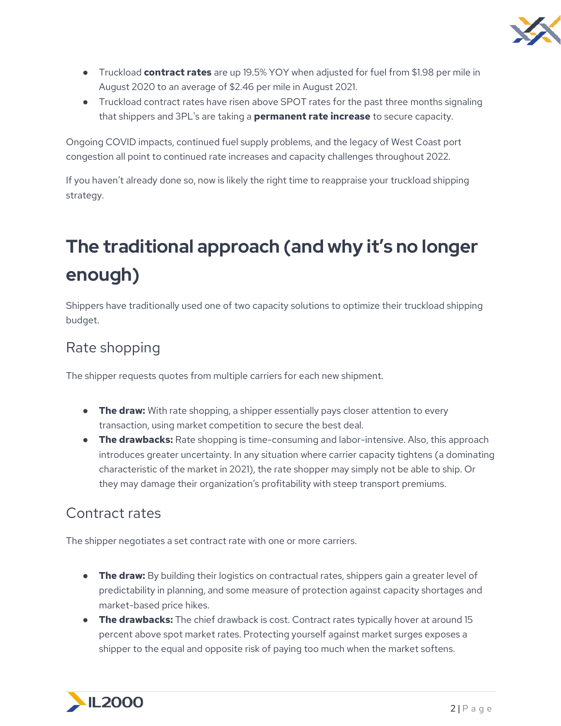

- Truckload **contract rates** are up 19.5% YOY when adjusted for fuel from \$1.98 per mile in August 2020 to an average of \$2.46 per mile in August 2021.
- Truckload contract rates have risen above SPOT rates for the past three months signaling that shippers and 3PL's are taking a **permanent rate increase** to secure capacity.

Ongoing COVID impacts, continued fuel supply problems, and the legacy of West Coast port congestion all point to continued rate increases and capacity challenges throughout 2022.

If you haven't already done so, now is likely the right time to reappraise your truckload shipping strategy.

## **The traditional approach (and why it's no longer enough)**

Shippers have traditionally used one of two capacity solutions to optimize their truckload shipping budget.

### Rate shopping

The shipper requests quotes from multiple carriers for each new shipment.

- **The draw:** With rate shopping, a shipper essentially pays closer attention to every transaction, using market competition to secure the best deal.
- **The drawbacks:** Rate shopping is time-consuming and labor-intensive. Also, this approach introduces greater uncertainty. In any situation where carrier capacity tightens (a dominating characteristic of the market in 2021), the rate shopper may simply not be able to ship. Or they may damage their organization's profitability with steep transport premiums.

#### Contract rates

The shipper negotiates a set contract rate with one or more carriers.

- **The draw:** By building their logistics on contractual rates, shippers gain a greater level of predictability in planning, and some measure of protection against capacity shortages and market-based price hikes.
- **The drawbacks:** The chief drawback is cost. Contract rates typically hover at around 15 percent above spot market rates. Protecting yourself against market surges exposes a shipper to the equal and opposite risk of paying too much when the market softens.

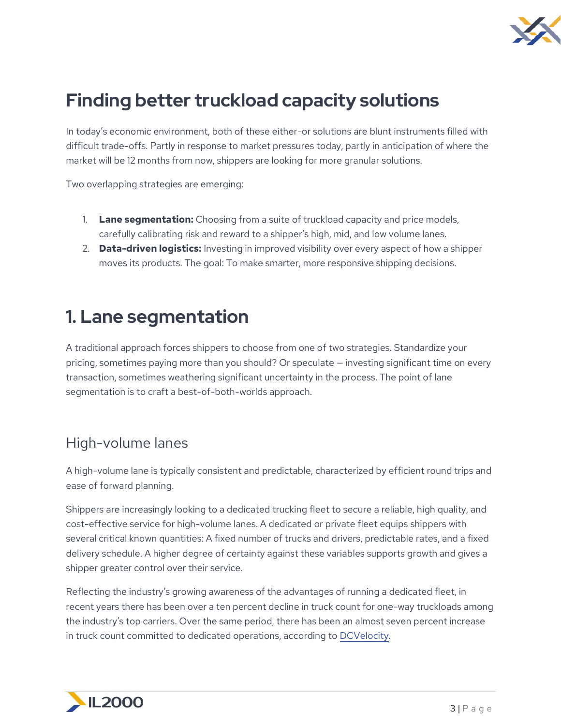

## **Finding better truckload capacity solutions**

In today's economic environment, both of these either-or solutions are blunt instruments filled with difficult trade-offs. Partly in response to market pressures today, partly in anticipation of where the market will be 12 months from now, shippers are looking for more granular solutions.

Two overlapping strategies are emerging:

- 1. **Lane segmentation:** Choosing from a suite of truckload capacity and price models, carefully calibrating risk and reward to a shipper's high, mid, and low volume lanes.
- 2. **Data-driven logistics:** Investing in improved visibility over every aspect of how a shipper moves its products. The goal: To make smarter, more responsive shipping decisions.

## **1. Lane segmentation**

A traditional approach forces shippers to choose from one of two strategies. Standardize your pricing, sometimes paying more than you should? Or speculate — investing significant time on every transaction, sometimes weathering significant uncertainty in the process. The point of lane segmentation is to craft a best-of-both-worlds approach.

#### High-volume lanes

A high-volume lane is typically consistent and predictable, characterized by efficient round trips and ease of forward planning.

Shippers are increasingly looking to a dedicated trucking fleet to secure a reliable, high quality, and cost-effective service for high-volume lanes. A dedicated or private fleet equips shippers with several critical known quantities: A fixed number of trucks and drivers, predictable rates, and a fixed delivery schedule. A higher degree of certainty against these variables supports growth and gives a shipper greater control over their service.

Reflecting the industry's growing awareness of the advantages of running a dedicated fleet, in recent years there has been over a ten percent decline in truck count for one-way truckloads among the industry's top carriers. Over the same period, there has been an almost seven percent increase in truck count committed to dedicated operations, according to [DCVelocity.](https://www.dcvelocity.com/articles/30680-the-rise-of-private-fleets-and-dedicated-operations)

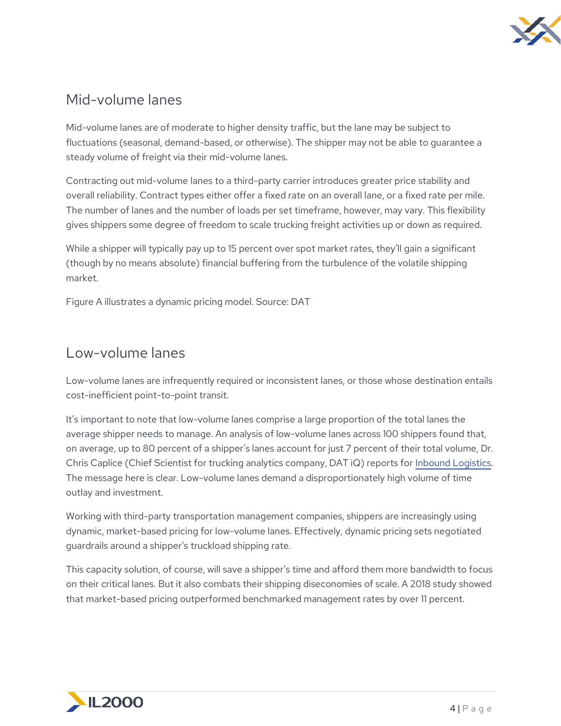

#### Mid-volume lanes

Mid-volume lanes are of moderate to higher density traffic, but the lane may be subject to fluctuations (seasonal, demand-based, or otherwise). The shipper may not be able to guarantee a steady volume of freight via their mid-volume lanes.

Contracting out mid-volume lanes to a third-party carrier introduces greater price stability and overall reliability. Contract types either offer a fixed rate on an overall lane, or a fixed rate per mile. The number of lanes and the number of loads per set timeframe, however, may vary. This flexibility gives shippers some degree of freedom to scale trucking freight activities up or down as required.

While a shipper will typically pay up to 15 percent over spot market rates, they'll gain a significant (though by no means absolute) financial buffering from the turbulence of the volatile shipping market.

Figure A illustrates a dynamic pricing model. Source: DAT

#### Low-volume lanes

Low-volume lanes are infrequently required or inconsistent lanes, or those whose destination entails cost-inefficient point-to-point transit.

It's important to note that low-volume lanes comprise a large proportion of the total lanes the average shipper needs to manage. An analysis of low-volume lanes across 100 shippers found that, on average, up to 80 percent of a shipper's lanes account for just 7 percent of their total volume, Dr. Chris Caplice (Chief Scientist for trucking analytics company, DAT iQ) reports fo[r](https://www.inboundlogistics.com/cms/article/its-time-to-rethink-the-routing-guide/) [Inbound Logistics.](https://www.inboundlogistics.com/cms/article/its-time-to-rethink-the-routing-guide/) The message here is clear. Low-volume lanes demand a disproportionately high volume of time outlay and investment.

Working with third-party transportation management companies, shippers are increasingly using dynamic, market-based pricing for low-volume lanes. Effectively, dynamic pricing sets negotiated guardrails around a shipper's truckload shipping rate.

This capacity solution, of course, will save a shipper's time and afford them more bandwidth to focus on their critical lanes. But it also combats their shipping diseconomies of scale. A 2018 study showed that market-based pricing outperformed benchmarked management rates by over 11 percent.

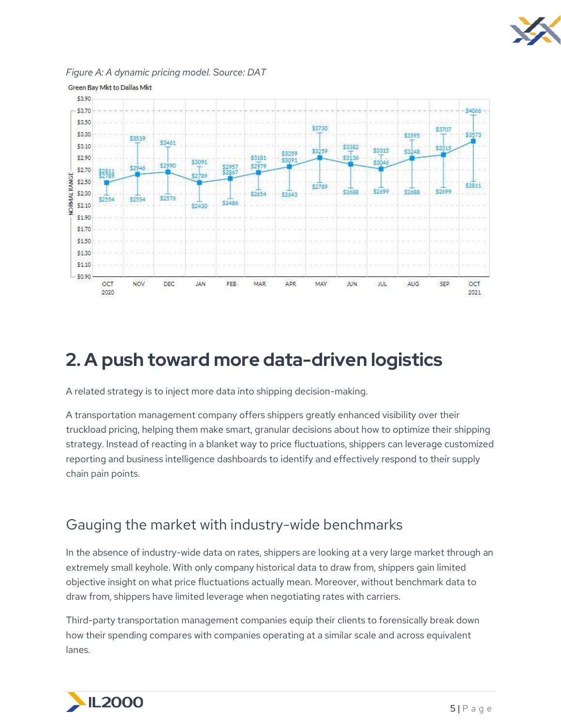



*Figure A: A dynamic pricing model. Source: DAT*

## **2. A push toward more data-driven logistics**

A related strategy is to inject more data into shipping decision-making.

A transportation management company offers shippers greatly enhanced visibility over their truckload pricing, helping them make smart, granular decisions about how to optimize their shipping strategy. Instead of reacting in a blanket way to price fluctuations, shippers can leverage customized reporting and business intelligence dashboards to identify and effectively respond to their supply chain pain points.

#### Gauging the market with industry-wide benchmarks

In the absence of industry-wide data on rates, shippers are looking at a very large market through an extremely small keyhole. With only company historical data to draw from, shippers gain limited objective insight on what price fluctuations actually mean. Moreover, without benchmark data to draw from, shippers have limited leverage when negotiating rates with carriers.

Third-party transportation management companies equip their clients to forensically break down how their spending compares with companies operating at a similar scale and across equivalent lanes.

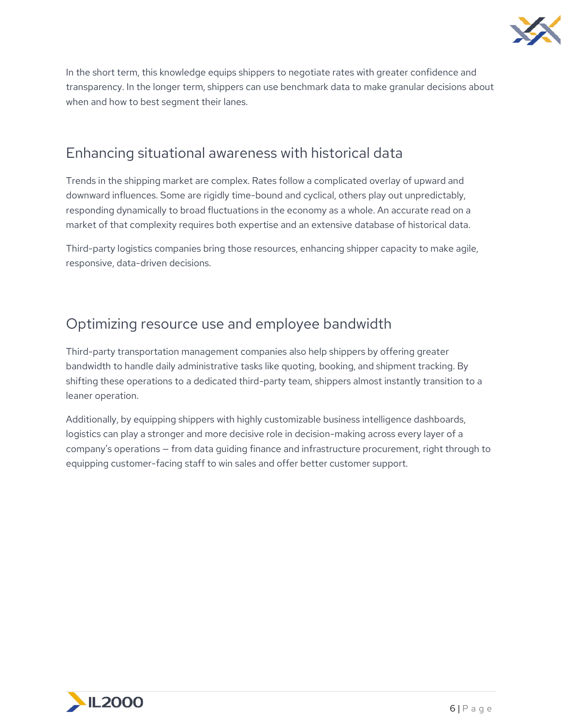

In the short term, this knowledge equips shippers to negotiate rates with greater confidence and transparency. In the longer term, shippers can use benchmark data to make granular decisions about when and how to best segment their lanes.

#### Enhancing situational awareness with historical data

Trends in the shipping market are complex. Rates follow a complicated overlay of upward and downward influences. Some are rigidly time-bound and cyclical, others play out unpredictably, responding dynamically to broad fluctuations in the economy as a whole. An accurate read on a market of that complexity requires both expertise and an extensive database of historical data.

Third-party logistics companies bring those resources, enhancing shipper capacity to make agile, responsive, data-driven decisions.

#### Optimizing resource use and employee bandwidth

Third-party transportation management companies also help shippers by offering greater bandwidth to handle daily administrative tasks like quoting, booking, and shipment tracking. By shifting these operations to a dedicated third-party team, shippers almost instantly transition to a leaner operation.

Additionally, by equipping shippers with highly customizable business intelligence dashboards, logistics can play a stronger and more decisive role in decision-making across every layer of a company's operations — from data guiding finance and infrastructure procurement, right through to equipping customer-facing staff to win sales and offer better customer support.

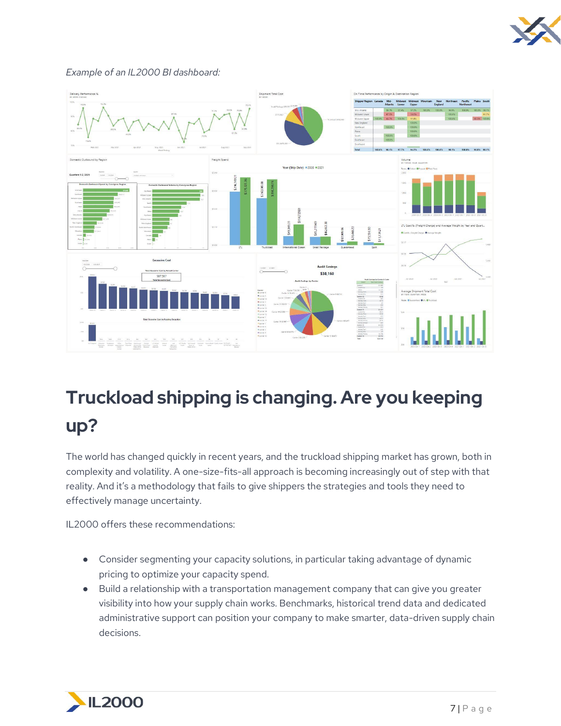

#### *Example of an IL2000 BI dashboard:*



## **Truckload shipping is changing. Are you keeping up?**

The world has changed quickly in recent years, and the truckload shipping market has grown, both in complexity and volatility. A one-size-fits-all approach is becoming increasingly out of step with that reality. And it's a methodology that fails to give shippers the strategies and tools they need to effectively manage uncertainty.

IL2000 offers these recommendations:

- Consider segmenting your capacity solutions, in particular taking advantage of dynamic pricing to optimize your capacity spend.
- Build a relationship with a transportation management company that can give you greater visibility into how your supply chain works. Benchmarks, historical trend data and dedicated administrative support can position your company to make smarter, data-driven supply chain decisions.